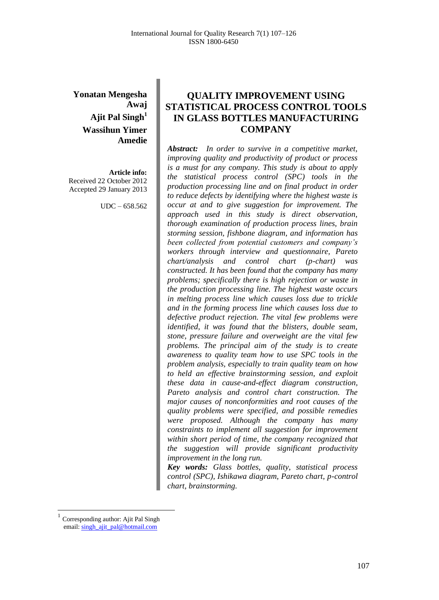**Yonatan Mengesha Awaj Ajit Pal Singh<sup>1</sup> Wassihun Yimer Amedie**

**Article info:** Received 22 October 2012 Accepted 29 January 2013

UDC – 658.562

# **QUALITY IMPROVEMENT USING STATISTICAL PROCESS CONTROL TOOLS IN GLASS BOTTLES MANUFACTURING COMPANY**

*Abstract: In order to survive in a competitive market, improving quality and productivity of product or process is a must for any company. This study is about to apply the statistical process control (SPC) tools in the production processing line and on final product in order to reduce defects by identifying where the highest waste is occur at and to give suggestion for improvement. The approach used in this study is direct observation, thorough examination of production process lines, brain storming session, fishbone diagram, and information has been collected from potential customers and company's workers through interview and questionnaire, Pareto chart/analysis and control chart (p-chart) was constructed. It has been found that the company has many problems; specifically there is high rejection or waste in the production processing line. The highest waste occurs in melting process line which causes loss due to trickle and in the forming process line which causes loss due to defective product rejection. The vital few problems were identified, it was found that the blisters, double seam, stone, pressure failure and overweight are the vital few problems. The principal aim of the study is to create awareness to quality team how to use SPC tools in the problem analysis, especially to train quality team on how to held an effective brainstorming session, and exploit these data in cause-and-effect diagram construction, Pareto analysis and control chart construction. The major causes of nonconformities and root causes of the quality problems were specified, and possible remedies were proposed. Although the company has many constraints to implement all suggestion for improvement within short period of time, the company recognized that the suggestion will provide significant productivity improvement in the long run.*

*Key words: Glass bottles, quality, statistical process control (SPC), Ishikawa diagram, Pareto chart, p-control chart, brainstorming.*

 $\overline{a}$ 

<sup>1</sup> Corresponding author: Ajit Pal Singh email[: singh\\_ajit\\_pal@hotmail.com](mailto:singh_ajit_pal@hotmail.com)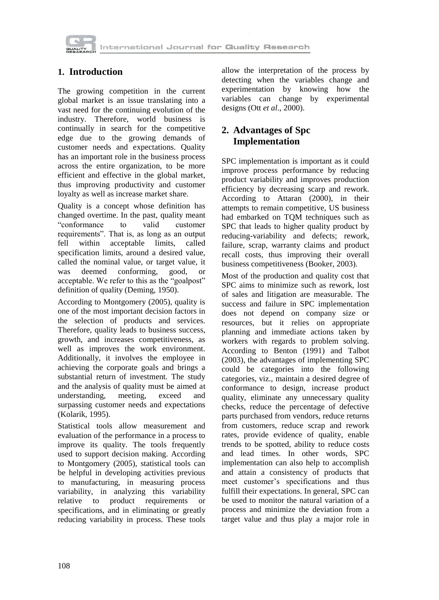

International Journal for Quality Research

### **1. Introduction**

The growing competition in the current global market is an issue translating into a vast need for the continuing evolution of the industry. Therefore, world business is continually in search for the competitive edge due to the growing demands of customer needs and expectations. Quality has an important role in the business process across the entire organization, to be more efficient and effective in the global market, thus improving productivity and customer loyalty as well as increase market share.

Quality is a concept whose definition has changed overtime. In the past, quality meant "conformance to valid customer requirements". That is, as long as an output fell within acceptable limits, called specification limits, around a desired value, called the nominal value, or target value, it was deemed conforming, good, or acceptable. We refer to this as the "goalpost" definition of quality (Deming, 1950).

According to Montgomery (2005), quality is one of the most important decision factors in the selection of products and services. Therefore, quality leads to business success, growth, and increases competitiveness, as well as improves the work environment. Additionally, it involves the employee in achieving the corporate goals and brings a substantial return of investment. The study and the analysis of quality must be aimed at understanding, meeting, exceed and surpassing customer needs and expectations (Kolarik, 1995).

Statistical tools allow measurement and evaluation of the performance in a process to improve its quality. The tools frequently used to support decision making. According to Montgomery (2005), statistical tools can be helpful in developing activities previous to manufacturing, in measuring process variability, in analyzing this variability relative to product requirements or specifications, and in eliminating or greatly reducing variability in process. These tools

allow the interpretation of the process by detecting when the variables change and experimentation by knowing how the variables can change by experimental designs (Ott *et al*., 2000).

# **2. Advantages of Spc Implementation**

SPC implementation is important as it could improve process performance by reducing product variability and improves production efficiency by decreasing scarp and rework. According to Attaran (2000), in their attempts to remain competitive, US business had embarked on TQM techniques such as SPC that leads to higher quality product by reducing-variability and defects; rework, failure, scrap, warranty claims and product recall costs, thus improving their overall business competitiveness (Booker, 2003).

Most of the production and quality cost that SPC aims to minimize such as rework, lost of sales and litigation are measurable. The success and failure in SPC implementation does not depend on company size or resources, but it relies on appropriate planning and immediate actions taken by workers with regards to problem solving. According to Benton (1991) and Talbot (2003), the advantages of implementing SPC could be categories into the following categories, viz., maintain a desired degree of conformance to design, increase product quality, eliminate any unnecessary quality checks, reduce the percentage of defective parts purchased from vendors, reduce returns from customers, reduce scrap and rework rates, provide evidence of quality, enable trends to be spotted, ability to reduce costs and lead times. In other words, SPC implementation can also help to accomplish and attain a consistency of products that meet customer's specifications and thus fulfill their expectations. In general, SPC can be used to monitor the natural variation of a process and minimize the deviation from a target value and thus play a major role in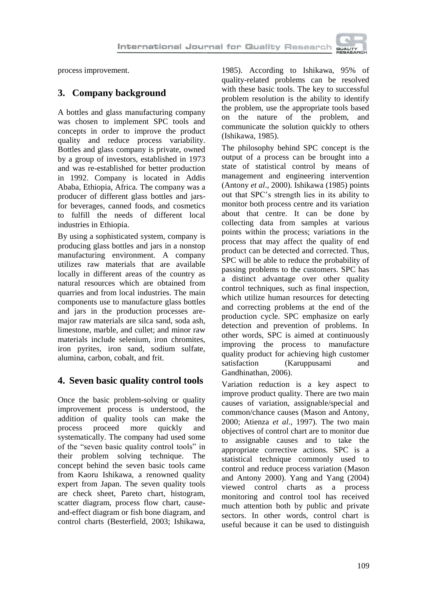

process improvement.

# **3. Company background**

A bottles and glass manufacturing company was chosen to implement SPC tools and concepts in order to improve the product quality and reduce process variability. Bottles and glass company is private, owned by a group of investors, established in 1973 and was re-established for better production in 1992. Company is located in Addis Ababa, Ethiopia, Africa. The company was a producer of different glass bottles and jarsfor beverages, canned foods, and cosmetics to fulfill the needs of different local industries in Ethiopia.

By using a sophisticated system, company is producing glass bottles and jars in a nonstop manufacturing environment. A company utilizes raw materials that are available locally in different areas of the country as natural resources which are obtained from quarries and from local industries. The main components use to manufacture glass bottles and jars in the production processes aremajor raw materials are silca sand, soda ash, limestone, marble, and cullet; and minor raw materials include selenium, iron chromites, iron pyrites, iron sand, sodium sulfate, alumina, carbon, cobalt, and frit.

### **4. Seven basic quality control tools**

Once the basic problem-solving or quality improvement process is understood, the addition of quality tools can make the process proceed more quickly and systematically. The company had used some of the "seven basic quality control tools" in their problem solving technique. The concept behind the seven basic tools came from Kaoru Ishikawa, a renowned quality expert from Japan. The seven quality tools are check sheet, Pareto chart, histogram, scatter diagram, process flow chart, causeand-effect diagram or fish bone diagram, and control charts (Besterfield, 2003; Ishikawa,

1985). According to Ishikawa, 95% of quality-related problems can be resolved with these basic tools. The key to successful problem resolution is the ability to identify the problem, use the appropriate tools based on the nature of the problem, and communicate the solution quickly to others (Ishikawa, 1985).

The philosophy behind SPC concept is the output of a process can be brought into a state of statistical control by means of management and engineering intervention (Antony *et al*., 2000). Ishikawa (1985) points out that SPC's strength lies in its ability to monitor both process centre and its variation about that centre. It can be done by collecting data from samples at various points within the process; variations in the process that may affect the quality of end product can be detected and corrected. Thus, SPC will be able to reduce the probability of passing problems to the customers. SPC has a distinct advantage over other quality control techniques, such as final inspection, which utilize human resources for detecting and correcting problems at the end of the production cycle. SPC emphasize on early detection and prevention of problems. In other words, SPC is aimed at continuously improving the process to manufacture quality product for achieving high customer<br>satisfaction (Karuppusami and (Karuppusami and Gandhinathan, 2006).

Variation reduction is a key aspect to improve product quality. There are two main causes of variation, assignable/special and common/chance causes (Mason and Antony, 2000; Atienza *et al*., 1997). The two main objectives of control chart are to monitor due to assignable causes and to take the appropriate corrective actions. SPC is a statistical technique commonly used to control and reduce process variation (Mason and Antony 2000). Yang and Yang (2004) viewed control charts as a process monitoring and control tool has received much attention both by public and private sectors. In other words, control chart is useful because it can be used to distinguish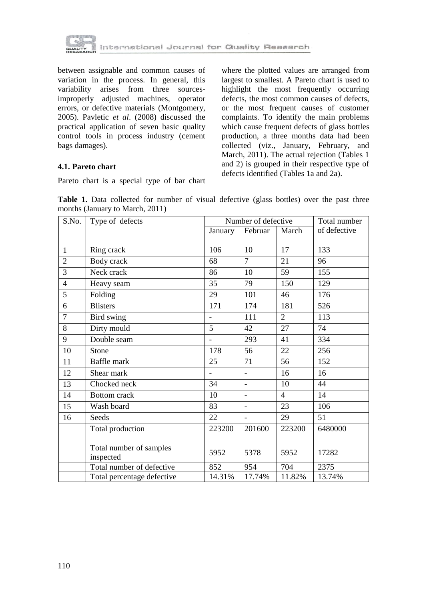

between assignable and common causes of variation in the process. In general, this variability arises from three sourcesimproperly adjusted machines, operator errors, or defective materials (Montgomery, 2005). Pavletic *et al*. (2008) discussed the practical application of seven basic quality control tools in process industry (cement bags damages).

where the plotted values are arranged from largest to smallest. A Pareto chart is used to highlight the most frequently occurring defects, the most common causes of defects, or the most frequent causes of customer complaints. To identify the main problems which cause frequent defects of glass bottles production, a three months data had been collected (viz., January, February, and March, 2011). The actual rejection (Tables 1 and 2) is grouped in their respective type of defects identified (Tables 1a and 2a).

#### **4.1. Pareto chart**

Pareto chart is a special type of bar chart

Table 1. Data collected for number of visual defective (glass bottles) over the past three months (January to March, 2011)

| S.No.          | Type of defects                      |                | Number of defective      |                | Total number |
|----------------|--------------------------------------|----------------|--------------------------|----------------|--------------|
|                |                                      | January        | Februar                  | March          | of defective |
|                |                                      |                |                          |                |              |
| $\mathbf{1}$   | Ring crack                           | 106            | 10                       | 17             | 133          |
| $\overline{2}$ | Body crack                           | 68             | $\overline{7}$           | 21             | 96           |
| $\overline{3}$ | Neck crack                           | 86             | 10                       | 59             | 155          |
| $\overline{4}$ | Heavy seam                           | 35             | 79                       | 150            | 129          |
| 5              | Folding                              | 29             | 101                      | 46             | 176          |
| 6              | <b>Blisters</b>                      | 171            | 174                      | 181            | 526          |
| $\overline{7}$ | Bird swing                           |                | 111                      | $\overline{2}$ | 113          |
| 8              | Dirty mould                          | $\overline{5}$ | 42                       | 27             | 74           |
| 9              | Double seam                          |                | 293                      | 41             | 334          |
| 10             | Stone                                | 178            | 56                       | 22             | 256          |
| 11             | Baffle mark                          | 25             | 71                       | 56             | 152          |
| 12             | Shear mark                           | $\overline{a}$ | $\overline{a}$           | 16             | 16           |
| 13             | Chocked neck                         | 34             | $\overline{a}$           | 10             | 44           |
| 14             | <b>Bottom</b> crack                  | 10             | $\overline{\phantom{0}}$ | 4              | 14           |
| 15             | Wash board                           | 83             | $\overline{a}$           | 23             | 106          |
| 16             | Seeds                                | 22             | ۰                        | 29             | 51           |
|                | Total production                     | 223200         | 201600                   | 223200         | 6480000      |
|                | Total number of samples<br>inspected | 5952           | 5378                     | 5952           | 17282        |
|                | Total number of defective            | 852            | 954                      | 704            | 2375         |
|                | Total percentage defective           | 14.31%         | 17.74%                   | 11.82%         | 13.74%       |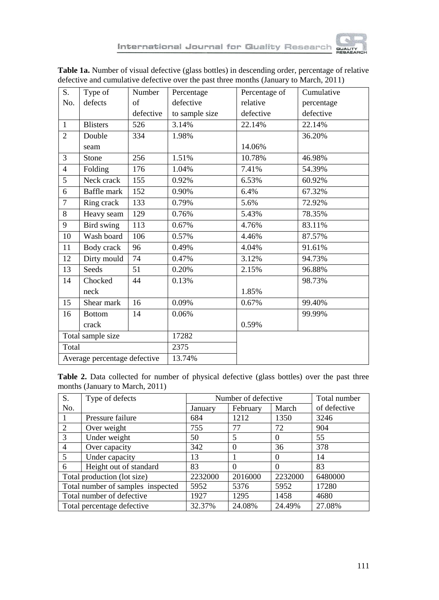

| S.             | Type of                      | Number    | Percentage     | Percentage of | Cumulative |
|----------------|------------------------------|-----------|----------------|---------------|------------|
| No.            | defects                      | of        | defective      | relative      | percentage |
|                |                              | defective | to sample size | defective     | defective  |
| $\mathbf{1}$   | <b>Blisters</b>              | 526       | 3.14%          | 22.14%        | 22.14%     |
| $\overline{2}$ | Double                       | 334       | 1.98%          |               | 36.20%     |
|                | seam                         |           |                | 14.06%        |            |
| $\overline{3}$ | Stone                        | 256       | 1.51%          | 10.78%        | 46.98%     |
| 4              | Folding                      | 176       | 1.04%          | 7.41%         | 54.39%     |
| $\overline{5}$ | Neck crack                   | 155       | 0.92%          | 6.53%         | 60.92%     |
| 6              | Baffle mark                  | 152       | 0.90%          | 6.4%          | 67.32%     |
| $\overline{7}$ | Ring crack                   | 133       | 0.79%          | 5.6%          | 72.92%     |
| 8              | Heavy seam                   | 129       | 0.76%          | 5.43%         | 78.35%     |
| 9              | Bird swing                   | 113       | 0.67%          | 4.76%         | 83.11%     |
| 10             | Wash board                   | 106       | 0.57%          | 4.46%         | 87.57%     |
| 11             | Body crack                   | 96        | 0.49%          | 4.04%         | 91.61%     |
| 12             | Dirty mould                  | 74        | 0.47%          | 3.12%         | 94.73%     |
| 13             | Seeds                        | 51        | 0.20%          | 2.15%         | 96.88%     |
| 14             | Chocked                      | 44        | 0.13%          |               | 98.73%     |
|                | neck                         |           |                | 1.85%         |            |
| 15             | Shear mark                   | 16        | 0.09%          | 0.67%         | 99.40%     |
| 16             | <b>Bottom</b>                | 14        | 0.06%          |               | 99.99%     |
|                | crack                        |           |                | 0.59%         |            |
|                | Total sample size            |           | 17282          |               |            |
| Total          |                              |           | 2375           |               |            |
|                | Average percentage defective |           | 13.74%         |               |            |

**Table 1a.** Number of visual defective (glass bottles) in descending order, percentage of relative defective and cumulative defective over the past three months (January to March, 2011)

Table 2. Data collected for number of physical defective (glass bottles) over the past three months (January to March, 2011)

| S.                                | Type of defects            |         | Number of defective |          |              |  |
|-----------------------------------|----------------------------|---------|---------------------|----------|--------------|--|
| No.                               |                            | January | February            | March    | of defective |  |
|                                   | Pressure failure           | 684     | 1212                | 1350     | 3246         |  |
| 2                                 | Over weight                | 755     | 77                  | 72       | 904          |  |
| 3                                 | Under weight               | 50      | 5                   | $\Omega$ | 55           |  |
| $\overline{4}$                    | Over capacity              | 342     | $\Omega$            | 36       | 378          |  |
| 5                                 | Under capacity             | 13      |                     | $\Omega$ | 14           |  |
| 6                                 | Height out of standard     |         | $\Omega$            | $\Omega$ | 83           |  |
| Total production (lot size)       |                            | 2232000 | 2016000             | 2232000  | 6480000      |  |
| Total number of samples inspected |                            | 5952    | 5376                | 5952     | 17280        |  |
| Total number of defective         |                            | 1927    | 1295                | 1458     | 4680         |  |
|                                   | Total percentage defective | 32.37%  | 24.08%              | 24.49%   | 27.08%       |  |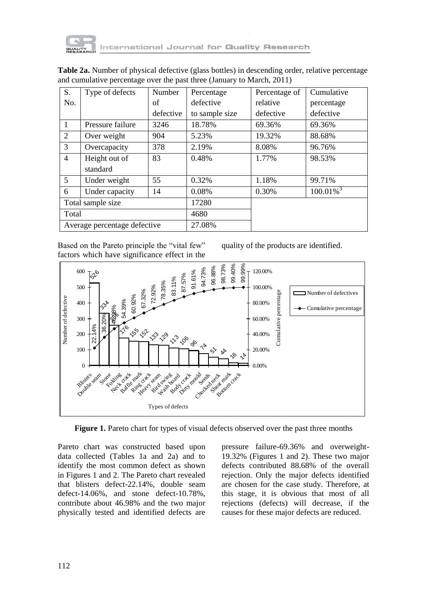

| S.                | Type of defects              | Number    | Percentage     | Percentage of | Cumulative          |
|-------------------|------------------------------|-----------|----------------|---------------|---------------------|
| No.               |                              | of        | defective      | relative      | percentage          |
|                   |                              | defective | to sample size | defective     | defective           |
| $\mathbf{1}$      | Pressure failure             | 3246      | 18.78%         | 69.36%        | 69.36%              |
| 2                 | Over weight                  | 904       | 5.23%          | 19.32%        | 88.68%              |
| 3                 | Overcapacity                 | 378       | 2.19%          | 8.08%         | 96.76%              |
| $\overline{4}$    | Height out of<br>standard    | 83        | 0.48%          | 1.77%         | 98.53%              |
| 5                 | Under weight                 | 55        | 0.32%          | 1.18%         | 99.71%              |
| 6                 | Under capacity               | 14        | 0.08%          | 0.30%         | $100.01\sqrt[3]{3}$ |
| Total sample size |                              | 17280     |                |               |                     |
| Total             |                              |           | 4680           |               |                     |
|                   | Average percentage defective |           | 27.08%         |               |                     |

**Table 2a.** Number of physical defective (glass bottles) in descending order, relative percentage and cumulative percentage over the past three (January to March, 2011)

Based on the Pareto principle the "vital few" factors which have significance effect in the

quality of the products are identified.



**Figure 1.** Pareto chart for types of visual defects observed over the past three months

Pareto chart was constructed based upon data collected (Tables 1a and 2a) and to identify the most common defect as shown in Figures 1 and 2. The Pareto chart revealed that blisters defect-22.14%, double seam defect-14.06%, and stone defect-10.78%, contribute about 46.98% and the two major physically tested and identified defects are

pressure failure-69.36% and overweight-19.32% (Figures 1 and 2). These two major defects contributed 88.68% of the overall rejection. Only the major defects identified are chosen for the case study. Therefore, at this stage, it is obvious that most of all rejections (defects) will decrease, if the causes for these major defects are reduced.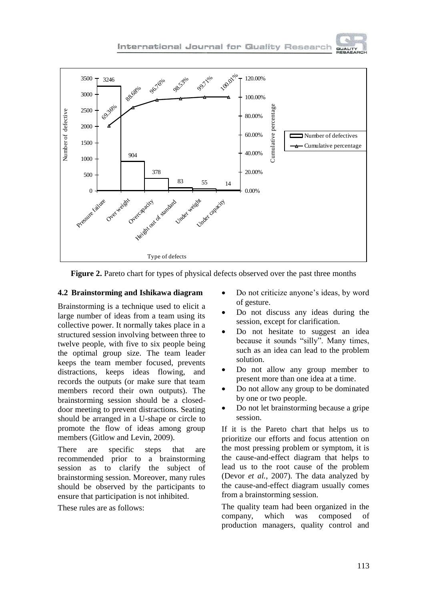

**Figure 2.** Pareto chart for types of physical defects observed over the past three months

#### **4.2 Brainstorming and Ishikawa diagram**

Brainstorming is a technique used to elicit a large number of ideas from a team using its collective power. It normally takes place in a structured session involving between three to twelve people, with five to six people being the optimal group size. The team leader keeps the team member focused, prevents distractions, keeps ideas flowing, and records the outputs (or make sure that team members record their own outputs). The brainstorming session should be a closeddoor meeting to prevent distractions. Seating should be arranged in a U-shape or circle to promote the flow of ideas among group members (Gitlow and Levin, 2009).

There are specific steps that are recommended prior to a brainstorming session as to clarify the subject of brainstorming session. Moreover, many rules should be observed by the participants to ensure that participation is not inhibited.

These rules are as follows:

- Do not criticize anyone's ideas, by word of gesture.
- Do not discuss any ideas during the session, except for clarification.
- Do not hesitate to suggest an idea because it sounds "silly". Many times, such as an idea can lead to the problem solution.
- Do not allow any group member to present more than one idea at a time.
- Do not allow any group to be dominated by one or two people.
- Do not let brainstorming because a gripe session.

If it is the Pareto chart that helps us to prioritize our efforts and focus attention on the most pressing problem or symptom, it is the cause-and-effect diagram that helps to lead us to the root cause of the problem (Devor *et al.*, 2007). The data analyzed by the cause-and-effect diagram usually comes from a brainstorming session.

The quality team had been organized in the company, which was composed of production managers, quality control and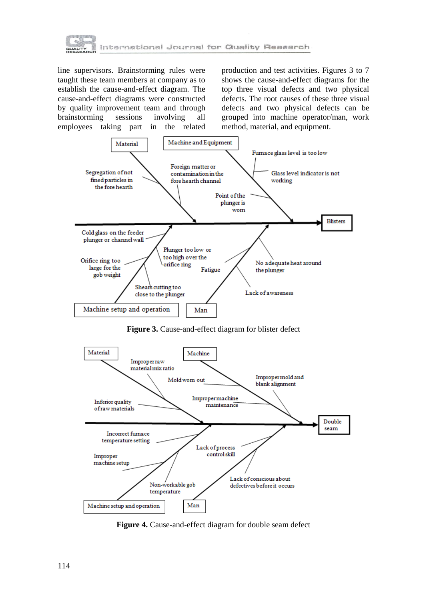

line supervisors. Brainstorming rules were taught these team members at company as to establish the cause-and-effect diagram. The cause-and-effect diagrams were constructed by quality improvement team and through brainstorming sessions involving all employees taking part in the related

production and test activities. Figures 3 to 7 shows the cause-and-effect diagrams for the top three visual defects and two physical defects. The root causes of these three visual defects and two physical defects can be grouped into machine operator/man, work method, material, and equipment.



**Figure 3.** Cause-and-effect diagram for blister defect



**Figure 4.** Cause-and-effect diagram for double seam defect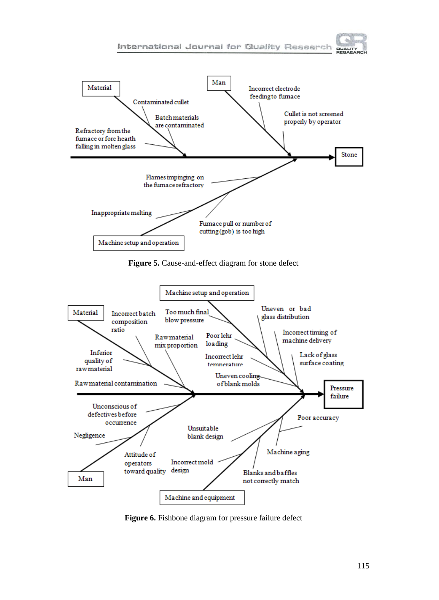



Machine setup and operation



**Figure 6.** Fishbone diagram for pressure failure defect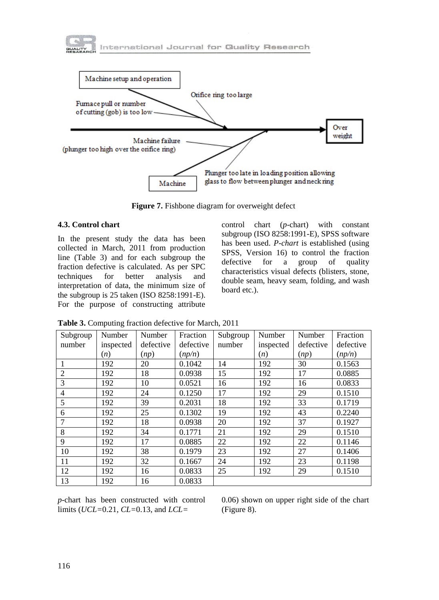



**Figure 7.** Fishbone diagram for overweight defect

#### **4.3. Control chart**

In the present study the data has been collected in March, 2011 from production line (Table 3) and for each subgroup the fraction defective is calculated. As per SPC techniques for better analysis and interpretation of data, the minimum size of the subgroup is 25 taken (ISO 8258:1991-E). For the purpose of constructing attribute

control chart (*p*-chart) with constant subgroup (ISO 8258:1991-E), SPSS software has been used. *P-chart* is established (using SPSS, Version 16) to control the fraction defective for a group of quality characteristics visual defects (blisters, stone, double seam, heavy seam, folding, and wash board etc.).

| Subgroup       | Number    | Number    | Fraction  | Subgroup | Number    | Number    | Fraction  |
|----------------|-----------|-----------|-----------|----------|-----------|-----------|-----------|
| number         | inspected | defective | defective | number   | inspected | defective | defective |
|                | (n)       | (np)      | (np/n)    |          | (n)       | (np)      | (np/n)    |
| 1              | 192       | 20        | 0.1042    | 14       | 192       | 30        | 0.1563    |
| $\overline{2}$ | 192       | 18        | 0.0938    | 15       | 192       | 17        | 0.0885    |
| 3              | 192       | 10        | 0.0521    | 16       | 192       | 16        | 0.0833    |
| $\overline{4}$ | 192       | 24        | 0.1250    | 17       | 192       | 29        | 0.1510    |
| 5              | 192       | 39        | 0.2031    | 18       | 192       | 33        | 0.1719    |
| 6              | 192       | 25        | 0.1302    | 19       | 192       | 43        | 0.2240    |
| 7              | 192       | 18        | 0.0938    | 20       | 192       | 37        | 0.1927    |
| 8              | 192       | 34        | 0.1771    | 21       | 192       | 29        | 0.1510    |
| 9              | 192       | 17        | 0.0885    | 22       | 192       | 22        | 0.1146    |
| 10             | 192       | 38        | 0.1979    | 23       | 192       | 27        | 0.1406    |
| 11             | 192       | 32        | 0.1667    | 24       | 192       | 23        | 0.1198    |
| 12             | 192       | 16        | 0.0833    | 25       | 192       | 29        | 0.1510    |
| 13             | 192       | 16        | 0.0833    |          |           |           |           |

**Table 3.** Computing fraction defective for March, 2011

*p*-chart has been constructed with control limits (*UCL=*0.21, *CL=*0.13, and *LCL=*

0.06) shown on upper right side of the chart (Figure 8).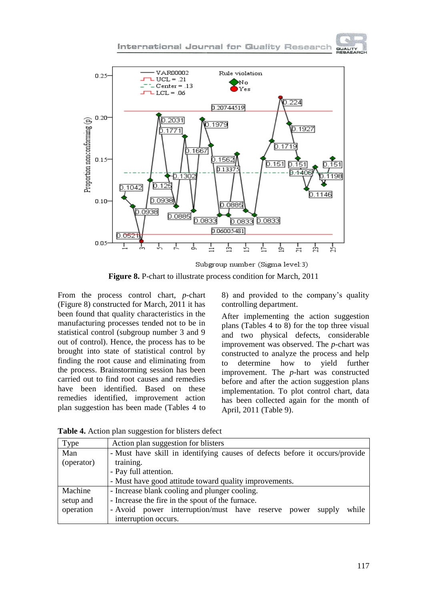

**Figure 8.** P-chart to illustrate process condition for March, 2011

From the process control chart, *p*-chart (Figure 8) constructed for March, 2011 it has been found that quality characteristics in the manufacturing processes tended not to be in statistical control (subgroup number 3 and 9 out of control). Hence, the process has to be brought into state of statistical control by finding the root cause and eliminating from the process. Brainstorming session has been carried out to find root causes and remedies have been identified. Based on these remedies identified, improvement action plan suggestion has been made (Tables 4 to

8) and provided to the company's quality controlling department.

**GUALITY** 

After implementing the action suggestion plans (Tables 4 to 8) for the top three visual and two physical defects, considerable improvement was observed. The *p*-chart was constructed to analyze the process and help to determine how to yield further improvement. The *p*-hart was constructed before and after the action suggestion plans implementation. To plot control chart, data has been collected again for the month of April, 2011 (Table 9).

| Type       | Action plan suggestion for blisters                                         |  |  |  |  |  |  |  |
|------------|-----------------------------------------------------------------------------|--|--|--|--|--|--|--|
| Man        | - Must have skill in identifying causes of defects before it occurs/provide |  |  |  |  |  |  |  |
| (operator) | training.                                                                   |  |  |  |  |  |  |  |
|            | - Pay full attention.                                                       |  |  |  |  |  |  |  |
|            | - Must have good attitude toward quality improvements.                      |  |  |  |  |  |  |  |
| Machine    | - Increase blank cooling and plunger cooling.                               |  |  |  |  |  |  |  |
| setup and  | - Increase the fire in the spout of the furnace.                            |  |  |  |  |  |  |  |
| operation  | - Avoid power interruption/must have reserve<br>while<br>supply<br>power    |  |  |  |  |  |  |  |
|            | interruption occurs.                                                        |  |  |  |  |  |  |  |

**Table 4.** Action plan suggestion for blisters defect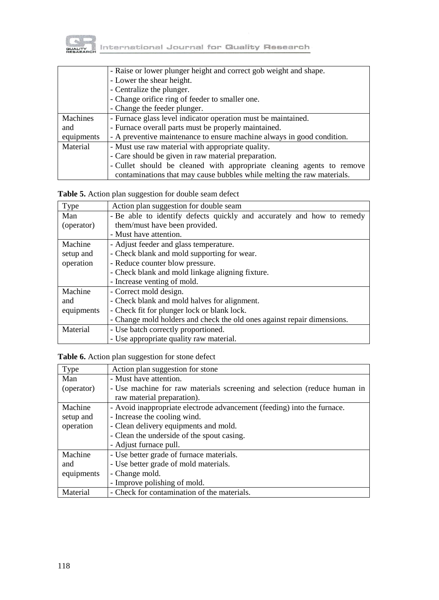

|            | - Raise or lower plunger height and correct gob weight and shape.      |  |  |  |  |  |
|------------|------------------------------------------------------------------------|--|--|--|--|--|
|            | - Lower the shear height.                                              |  |  |  |  |  |
|            | - Centralize the plunger.                                              |  |  |  |  |  |
|            | - Change orifice ring of feeder to smaller one.                        |  |  |  |  |  |
|            | - Change the feeder plunger.                                           |  |  |  |  |  |
| Machines   | - Furnace glass level indicator operation must be maintained.          |  |  |  |  |  |
| and        | - Furnace overall parts must be properly maintained.                   |  |  |  |  |  |
| equipments | - A preventive maintenance to ensure machine always in good condition. |  |  |  |  |  |
| Material   | - Must use raw material with appropriate quality.                      |  |  |  |  |  |
|            | - Care should be given in raw material preparation.                    |  |  |  |  |  |
|            | - Cullet should be cleaned with appropriate cleaning agents to remove  |  |  |  |  |  |
|            | contaminations that may cause bubbles while melting the raw materials. |  |  |  |  |  |

**Table 5.** Action plan suggestion for double seam defect

| Type       | Action plan suggestion for double seam                                  |
|------------|-------------------------------------------------------------------------|
| Man        | - Be able to identify defects quickly and accurately and how to remedy  |
| (operator) | them/must have been provided.                                           |
|            | - Must have attention.                                                  |
| Machine    | - Adjust feeder and glass temperature.                                  |
| setup and  | - Check blank and mold supporting for wear.                             |
| operation  | - Reduce counter blow pressure.                                         |
|            | - Check blank and mold linkage aligning fixture.                        |
|            | - Increase venting of mold.                                             |
| Machine    | - Correct mold design.                                                  |
| and        | - Check blank and mold halves for alignment.                            |
| equipments | - Check fit for plunger lock or blank lock.                             |
|            | - Change mold holders and check the old ones against repair dimensions. |
| Material   | - Use batch correctly proportioned.                                     |
|            | - Use appropriate quality raw material.                                 |

**Table 6.** Action plan suggestion for stone defect

| Type       | Action plan suggestion for stone                                         |
|------------|--------------------------------------------------------------------------|
| Man        | - Must have attention.                                                   |
| (operator) | - Use machine for raw materials screening and selection (reduce human in |
|            | raw material preparation).                                               |
| Machine    | - Avoid inappropriate electrode advancement (feeding) into the furnace.  |
| setup and  | - Increase the cooling wind.                                             |
| operation  | - Clean delivery equipments and mold.                                    |
|            | - Clean the underside of the spout casing.                               |
|            | - Adjust furnace pull.                                                   |
| Machine    | - Use better grade of furnace materials.                                 |
| and        | - Use better grade of mold materials.                                    |
| equipments | - Change mold.                                                           |
|            | - Improve polishing of mold.                                             |
| Material   | - Check for contamination of the materials.                              |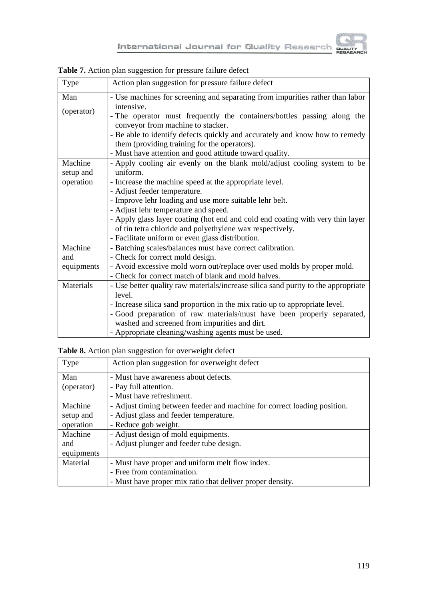

| Type       | Action plan suggestion for pressure failure defect                                |
|------------|-----------------------------------------------------------------------------------|
| Man        | - Use machines for screening and separating from impurities rather than labor     |
|            | intensive.                                                                        |
| (operator) | - The operator must frequently the containers/bottles passing along the           |
|            | conveyor from machine to stacker.                                                 |
|            | - Be able to identify defects quickly and accurately and know how to remedy       |
|            | them (providing training for the operators).                                      |
|            | - Must have attention and good attitude toward quality.                           |
| Machine    | - Apply cooling air evenly on the blank mold/adjust cooling system to be          |
| setup and  | uniform.                                                                          |
| operation  | - Increase the machine speed at the appropriate level.                            |
|            | - Adjust feeder temperature.                                                      |
|            | - Improve lehr loading and use more suitable lehr belt.                           |
|            | - Adjust lehr temperature and speed.                                              |
|            | - Apply glass layer coating (hot end and cold end coating with very thin layer    |
|            | of tin tetra chloride and polyethylene wax respectively.                          |
|            | - Facilitate uniform or even glass distribution.                                  |
| Machine    | - Batching scales/balances must have correct calibration.                         |
| and        | - Check for correct mold design.                                                  |
| equipments | - Avoid excessive mold worn out/replace over used molds by proper mold.           |
|            | - Check for correct match of blank and mold halves.                               |
| Materials  | - Use better quality raw materials/increase silica sand purity to the appropriate |
|            | level.                                                                            |
|            | - Increase silica sand proportion in the mix ratio up to appropriate level.       |
|            | - Good preparation of raw materials/must have been properly separated,            |
|            | washed and screened from impurities and dirt.                                     |
|            | - Appropriate cleaning/washing agents must be used.                               |

**Table 7.** Action plan suggestion for pressure failure defect

**Table 8.** Action plan suggestion for overweight defect

| Type       | Action plan suggestion for overweight defect                             |
|------------|--------------------------------------------------------------------------|
| Man        | - Must have awareness about defects.                                     |
| (operator) | - Pay full attention.                                                    |
|            | - Must have refreshment.                                                 |
| Machine    | - Adjust timing between feeder and machine for correct loading position. |
| setup and  | - Adjust glass and feeder temperature.                                   |
| operation  | - Reduce gob weight.                                                     |
| Machine    | - Adjust design of mold equipments.                                      |
| and        | - Adjust plunger and feeder tube design.                                 |
| equipments |                                                                          |
| Material   | - Must have proper and uniform melt flow index.                          |
|            | - Free from contamination.                                               |
|            | - Must have proper mix ratio that deliver proper density.                |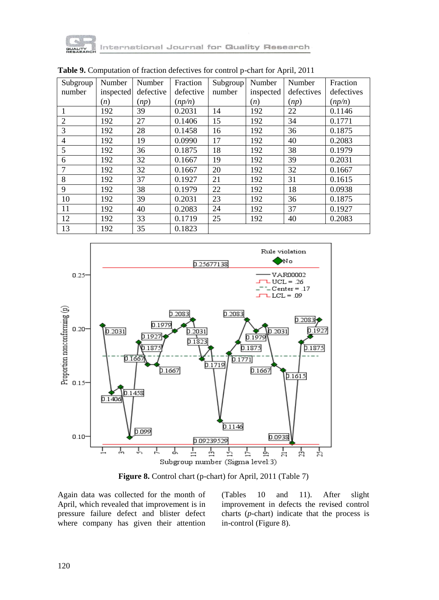

tternational Journal for Quality Research

| Subgroup       | Number    | Number    | Fraction  | Subgroup | Number    | Number     | Fraction   |
|----------------|-----------|-----------|-----------|----------|-----------|------------|------------|
| number         | inspected | defective | defective | number   | inspected | defectives | defectives |
|                | (n)       | (np)      | (np/n)    |          | (n)       | (np)       | (np/n)     |
| 1              | 192       | 39        | 0.2031    | 14       | 192       | 22         | 0.1146     |
| $\overline{2}$ | 192       | 27        | 0.1406    | 15       | 192       | 34         | 0.1771     |
| 3              | 192       | 28        | 0.1458    | 16       | 192       | 36         | 0.1875     |
| $\overline{4}$ | 192       | 19        | 0.0990    | 17       | 192       | 40         | 0.2083     |
| 5              | 192       | 36        | 0.1875    | 18       | 192       | 38         | 0.1979     |
| 6              | 192       | 32        | 0.1667    | 19       | 192       | 39         | 0.2031     |
| $\overline{7}$ | 192       | 32        | 0.1667    | 20       | 192       | 32         | 0.1667     |
| 8              | 192       | 37        | 0.1927    | 21       | 192       | 31         | 0.1615     |
| 9              | 192       | 38        | 0.1979    | 22       | 192       | 18         | 0.0938     |
| 10             | 192       | 39        | 0.2031    | 23       | 192       | 36         | 0.1875     |
| 11             | 192       | 40        | 0.2083    | 24       | 192       | 37         | 0.1927     |
| 12             | 192       | 33        | 0.1719    | 25       | 192       | 40         | 0.2083     |
| 13             | 192       | 35        | 0.1823    |          |           |            |            |

**Table 9.** Computation of fraction defectives for control p-chart for April, 2011



**Figure 8.** Control chart (p-chart) for April, 2011 (Table 7)

Again data was collected for the month of April, which revealed that improvement is in pressure failure defect and blister defect where company has given their attention

(Tables 10 and 11). After slight improvement in defects the revised control charts (*p*-chart) indicate that the process is in-control (Figure 8).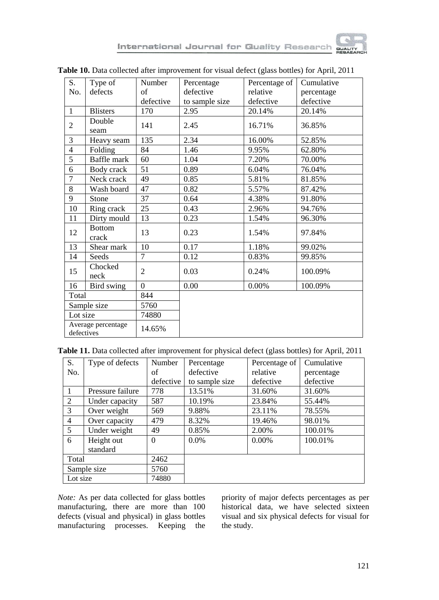

| S.                               | Type of                | Number         | Percentage     | Percentage of | Cumulative |
|----------------------------------|------------------------|----------------|----------------|---------------|------------|
| No.                              | defects                | of             | defective      | relative      | percentage |
|                                  |                        | defective      | to sample size | defective     | defective  |
| $\mathbf{1}$                     | <b>Blisters</b>        | 170            | 2.95           | 20.14%        | 20.14%     |
| $\overline{2}$                   | Double<br>seam         | 141            | 2.45           | 16.71%        | 36.85%     |
| 3                                | Heavy seam             | 135            | 2.34           | 16.00%        | 52.85%     |
| $\overline{4}$                   | Folding                | 84             | 1.46           | 9.95%         | 62.80%     |
| $\overline{5}$                   | Baffle mark            | 60             | 1.04           | 7.20%         | 70.00%     |
| 6                                | Body crack             | 51             | 0.89           | 6.04%         | 76.04%     |
| $\overline{7}$                   | Neck crack             | 49             | 0.85           | 5.81%         | 81.85%     |
| $\overline{8}$                   | Wash board             | 47             | 0.82           | 5.57%         | 87.42%     |
| 9                                | Stone                  | 37             | 0.64           | 4.38%         | 91.80%     |
| 10                               | Ring crack             | 25             | 0.43           | 2.96%         | 94.76%     |
| 11                               | Dirty mould            | 13             | 0.23           | 1.54%         | 96.30%     |
| 12                               | <b>Bottom</b><br>crack | 13             | 0.23           | 1.54%         | 97.84%     |
| 13                               | Shear mark             | 10             | 0.17           | 1.18%         | 99.02%     |
| 14                               | Seeds                  | $\overline{7}$ | 0.12           | 0.83%         | 99.85%     |
| 15                               | Chocked<br>neck        | $\overline{2}$ | 0.03           | 0.24%         | 100.09%    |
| 16                               | Bird swing             | $\Omega$       | 0.00           | 0.00%         | 100.09%    |
| Total                            |                        | 844            |                |               |            |
| Sample size                      |                        | 5760           |                |               |            |
| Lot size                         |                        | 74880          |                |               |            |
| Average percentage<br>defectives |                        | 14.65%         |                |               |            |

**Table 11.** Data collected after improvement for physical defect (glass bottles) for April, 2011

| S.          | Type of defects  | Number    | Percentage     | Percentage of | Cumulative |
|-------------|------------------|-----------|----------------|---------------|------------|
| No.         |                  | of        | defective      | relative      | percentage |
|             |                  | defective | to sample size | defective     | defective  |
|             | Pressure failure | 778       | 13.51%         | 31.60%        | 31.60%     |
| 2           | Under capacity   | 587       | 10.19%         | 23.84%        | 55.44%     |
| 3           | Over weight      | 569       | 9.88%          | 23.11%        | 78.55%     |
| 4           | Over capacity    | 479       | 8.32%          | 19.46%        | 98.01%     |
| 5           | Under weight     | 49        | 0.85%          | 2.00%         | 100.01%    |
| 6           | Height out       | $\Omega$  | $0.0\%$        | $0.00\%$      | 100.01%    |
|             | standard         |           |                |               |            |
| Total       |                  | 2462      |                |               |            |
| Sample size |                  | 5760      |                |               |            |
| Lot size    |                  | 74880     |                |               |            |

*Note:* As per data collected for glass bottles manufacturing, there are more than 100 defects (visual and physical) in glass bottles manufacturing processes. Keeping the priority of major defects percentages as per historical data, we have selected sixteen visual and six physical defects for visual for the study.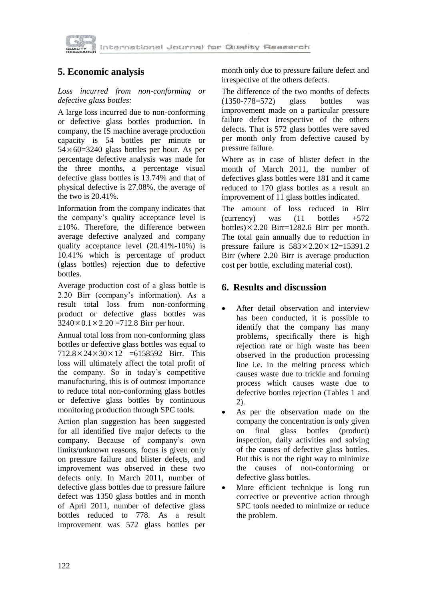

# **5. Economic analysis**

#### *Loss incurred from non-conforming or defective glass bottles:*

A large loss incurred due to non-conforming or defective glass bottles production. In company, the IS machine average production capacity is 54 bottles per minute or 54 60=3240 glass bottles per hour. As per percentage defective analysis was made for the three months, a percentage visual defective glass bottles is 13.74% and that of physical defective is 27.08%, the average of the two is 20.41%.

Information from the company indicates that the company's quality acceptance level is ±10%. Therefore, the difference between average defective analyzed and company quality acceptance level (20.41%-10%) is 10.41% which is percentage of product (glass bottles) rejection due to defective bottles.

Average production cost of a glass bottle is 2.20 Birr (company's information). As a result total loss from non-conforming product or defective glass bottles was  $3240 \times 0.1 \times 2.20 = 712.8$  Birr per hour.

Annual total loss from non-conforming glass bottles or defective glass bottles was equal to  $712.8 \times 24 \times 30 \times 12 = 6158592$  Birr. This loss will ultimately affect the total profit of the company. So in today's competitive manufacturing, this is of outmost importance to reduce total non-conforming glass bottles or defective glass bottles by continuous monitoring production through SPC tools.

Action plan suggestion has been suggested for all identified five major defects to the company. Because of company's own limits/unknown reasons, focus is given only on pressure failure and blister defects, and improvement was observed in these two defects only. In March 2011, number of defective glass bottles due to pressure failure defect was 1350 glass bottles and in month of April 2011, number of defective glass bottles reduced to 778. As a result improvement was 572 glass bottles per

month only due to pressure failure defect and irrespective of the others defects.

The difference of the two months of defects (1350-778=572) glass bottles was improvement made on a particular pressure failure defect irrespective of the others defects. That is 572 glass bottles were saved per month only from defective caused by pressure failure.

Where as in case of blister defect in the month of March 2011, the number of defectives glass bottles were 181 and it came reduced to 170 glass bottles as a result an improvement of 11 glass bottles indicated.

The amount of loss reduced in Birr (currency) was  $(11 \text{ bottles } +572)$ bottles) $\times$  2.20 Birr=1282.6 Birr per month. The total gain annually due to reduction in pressure failure is  $583 \times 2.20 \times 12 = 15391.2$ Birr (where 2.20 Birr is average production cost per bottle, excluding material cost).

### **6. Results and discussion**

- After detail observation and interview has been conducted, it is possible to identify that the company has many problems, specifically there is high rejection rate or high waste has been observed in the production processing line i.e. in the melting process which causes waste due to trickle and forming process which causes waste due to defective bottles rejection (Tables 1 and 2).
- As per the observation made on the company the concentration is only given on final glass bottles (product) inspection, daily activities and solving of the causes of defective glass bottles. But this is not the right way to minimize the causes of non-conforming or defective glass bottles.
- More efficient technique is long run corrective or preventive action through SPC tools needed to minimize or reduce the problem.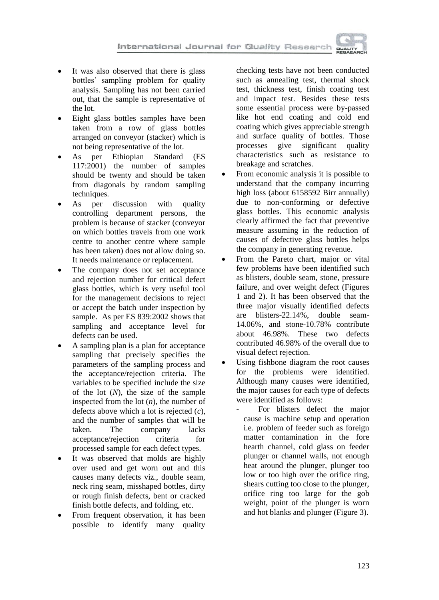

- It was also observed that there is glass bottles' sampling problem for quality analysis. Sampling has not been carried out, that the sample is representative of the lot.
- Eight glass bottles samples have been taken from a row of glass bottles arranged on conveyor (stacker) which is not being representative of the lot.
- As per Ethiopian Standard (ES 117:2001) the number of samples should be twenty and should be taken from diagonals by random sampling techniques.
- As per discussion with quality controlling department persons, the problem is because of stacker (conveyor on which bottles travels from one work centre to another centre where sample has been taken) does not allow doing so. It needs maintenance or replacement.
- The company does not set acceptance and rejection number for critical defect glass bottles, which is very useful tool for the management decisions to reject or accept the batch under inspection by sample. As per ES 839:2002 shows that sampling and acceptance level for defects can be used.
- A sampling plan is a plan for acceptance sampling that precisely specifies the parameters of the sampling process and the acceptance/rejection criteria. The variables to be specified include the size of the lot (*N*), the size of the sample inspected from the lot (*n*), the number of defects above which a lot is rejected (*c*), and the number of samples that will be taken. The company lacks acceptance/rejection criteria for processed sample for each defect types.
- It was observed that molds are highly over used and get worn out and this causes many defects viz., double seam, neck ring seam, misshaped bottles, dirty or rough finish defects, bent or cracked finish bottle defects, and folding, etc.
- From frequent observation, it has been possible to identify many quality

checking tests have not been conducted such as annealing test, thermal shock test, thickness test, finish coating test and impact test. Besides these tests some essential process were by-passed like hot end coating and cold end coating which gives appreciable strength and surface quality of bottles. Those processes give significant quality characteristics such as resistance to breakage and scratches.

- From economic analysis it is possible to understand that the company incurring high loss (about 6158592 Birr annually) due to non-conforming or defective glass bottles. This economic analysis clearly affirmed the fact that preventive measure assuming in the reduction of causes of defective glass bottles helps the company in generating revenue.
- From the Pareto chart, major or vital few problems have been identified such as blisters, double seam, stone, pressure failure, and over weight defect (Figures 1 and 2). It has been observed that the three major visually identified defects are blisters-22.14%, double seam-14.06%, and stone-10.78% contribute about 46.98%. These two defects contributed 46.98% of the overall due to visual defect rejection.
- Using fishbone diagram the root causes for the problems were identified. Although many causes were identified, the major causes for each type of defects were identified as follows:
	- For blisters defect the major cause is machine setup and operation i.e. problem of feeder such as foreign matter contamination in the fore hearth channel, cold glass on feeder plunger or channel walls, not enough heat around the plunger, plunger too low or too high over the orifice ring, shears cutting too close to the plunger, orifice ring too large for the gob weight, point of the plunger is worn and hot blanks and plunger (Figure 3).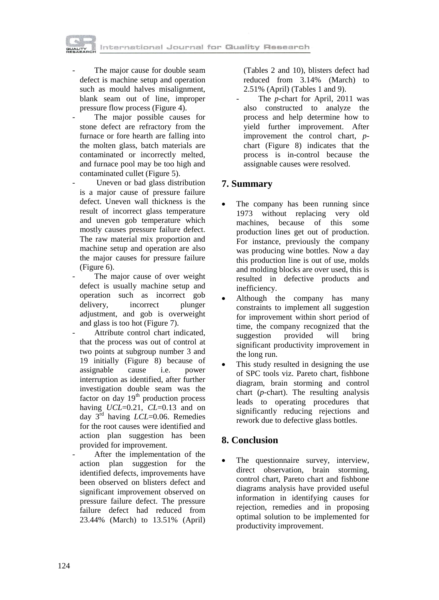



The major cause for double seam defect is machine setup and operation such as mould halves misalignment, blank seam out of line, improper pressure flow process (Figure 4).

The major possible causes for stone defect are refractory from the furnace or fore hearth are falling into the molten glass, batch materials are contaminated or incorrectly melted, and furnace pool may be too high and contaminated cullet (Figure 5).

Uneven or bad glass distribution is a major cause of pressure failure defect. Uneven wall thickness is the result of incorrect glass temperature and uneven gob temperature which mostly causes pressure failure defect. The raw material mix proportion and machine setup and operation are also the major causes for pressure failure (Figure 6).

The major cause of over weight defect is usually machine setup and operation such as incorrect gob delivery, incorrect plunger adjustment, and gob is overweight and glass is too hot (Figure 7).

Attribute control chart indicated. that the process was out of control at two points at subgroup number 3 and 19 initially (Figure 8) because of assignable cause i.e. power interruption as identified, after further investigation double seam was the factor on day  $19<sup>th</sup>$  production process having *UCL*=0.21, *CL*=0.13 and on day 3rd having *LCL*=0.06. Remedies for the root causes were identified and action plan suggestion has been provided for improvement.

After the implementation of the action plan suggestion for the identified defects, improvements have been observed on blisters defect and significant improvement observed on pressure failure defect. The pressure failure defect had reduced from 23.44% (March) to 13.51% (April)

(Tables 2 and 10), blisters defect had reduced from 3.14% (March) to 2.51% (April) (Tables 1 and 9).

The *p*-chart for April, 2011 was also constructed to analyze the process and help determine how to yield further improvement. After improvement the control chart, *p*chart (Figure 8) indicates that the process is in-control because the assignable causes were resolved.

# **7. Summary**

- The company has been running since 1973 without replacing very old machines, because of this some production lines get out of production. For instance, previously the company was producing wine bottles. Now a day this production line is out of use, molds and molding blocks are over used, this is resulted in defective products and inefficiency.
- Although the company has many constraints to implement all suggestion for improvement within short period of time, the company recognized that the<br>suggestion provided will bring suggestion provided will bring significant productivity improvement in the long run.
- This study resulted in designing the use of SPC tools viz. Pareto chart, fishbone diagram, brain storming and control chart (*p*-chart). The resulting analysis leads to operating procedures that significantly reducing rejections and rework due to defective glass bottles.

### **8. Conclusion**

 The questionnaire survey, interview, direct observation, brain storming, control chart, Pareto chart and fishbone diagrams analysis have provided useful information in identifying causes for rejection, remedies and in proposing optimal solution to be implemented for productivity improvement.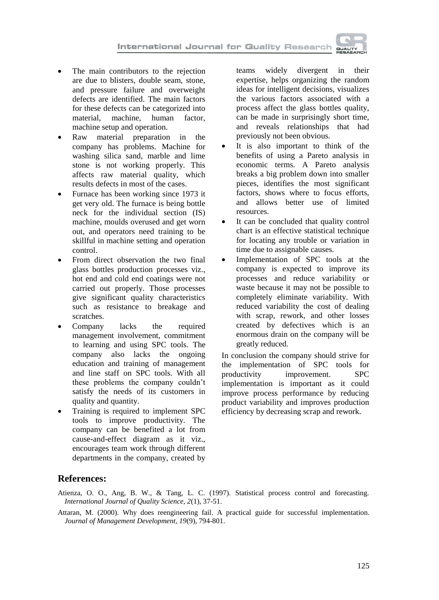International Journal for Quality Research



- The main contributors to the rejection are due to blisters, double seam, stone, and pressure failure and overweight defects are identified. The main factors for these defects can be categorized into<br>material machine, human factor. machine, human factor, machine setup and operation.
- Raw material preparation in the company has problems. Machine for washing silica sand, marble and lime stone is not working properly. This affects raw material quality, which results defects in most of the cases.
- Furnace has been working since 1973 it get very old. The furnace is being bottle neck for the individual section (IS) machine, moulds overused and get worn out, and operators need training to be skillful in machine setting and operation control.
- From direct observation the two final glass bottles production processes viz., hot end and cold end coatings were not carried out properly. Those processes give significant quality characteristics such as resistance to breakage and scratches.
- Company lacks the required management involvement, commitment to learning and using SPC tools. The company also lacks the ongoing education and training of management and line staff on SPC tools. With all these problems the company couldn't satisfy the needs of its customers in quality and quantity.
- Training is required to implement SPC tools to improve productivity. The company can be benefited a lot from cause-and-effect diagram as it viz., encourages team work through different departments in the company, created by

teams widely divergent in their expertise, helps organizing the random ideas for intelligent decisions, visualizes the various factors associated with a process affect the glass bottles quality, can be made in surprisingly short time, and reveals relationships that had previously not been obvious.

- It is also important to think of the benefits of using a Pareto analysis in economic terms. A Pareto analysis breaks a big problem down into smaller pieces, identifies the most significant factors, shows where to focus efforts, and allows better use of limited resources.
- It can be concluded that quality control chart is an effective statistical technique for locating any trouble or variation in time due to assignable causes.
- Implementation of SPC tools at the company is expected to improve its processes and reduce variability or waste because it may not be possible to completely eliminate variability. With reduced variability the cost of dealing with scrap, rework, and other losses created by defectives which is an enormous drain on the company will be greatly reduced.

In conclusion the company should strive for the implementation of SPC tools for productivity improvement. SPC implementation is important as it could improve process performance by reducing product variability and improves production efficiency by decreasing scrap and rework.

### **References:**

- Atienza, O. O., Ang, B. W., & Tang, L. C. (1997). Statistical process control and forecasting. *International Journal of Quality Science, 2*(1), 37-51.
- Attaran, M. (2000). Why does reengineering fail. A practical guide for successful implementation. *Journal of Management Development, 19*(9), 794-801.